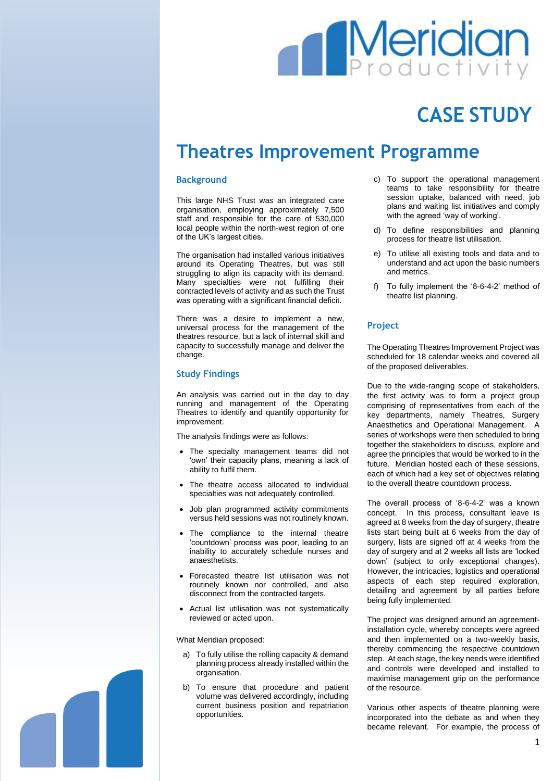# **Meridia**

## **CASE STUDY**

### **Theatres Improvement Programme**

#### **Background**

This large NHS Trust was an integrated care organisation, employing approximately 7,500 staff and responsible for the care of 530,000 local people within the north-west region of one of the UK's largest cities.

The organisation had installed various initiatives around its Operating Theatres, but was still struggling to align its capacity with its demand. Many specialties were not fulfilling their contracted levels of activity and as such the Trust was operating with a significant financial deficit.

There was a desire to implement a new, universal process for the management of the theatres resource, but a lack of internal skill and capacity to successfully manage and deliver the change.

#### **Study Findings**

An analysis was carried out in the day to day running and management of the Operating Theatres to identify and quantify opportunity for improvement.

The analysis findings were as follows:

- The specialty management teams did not 'own' their capacity plans, meaning a lack of ability to fulfil them.
- The theatre access allocated to individual specialties was not adequately controlled.
- Job plan programmed activity commitments versus held sessions was not routinely known.
- The compliance to the internal theatre 'countdown' process was poor, leading to an inability to accurately schedule nurses and anaesthetists.
- Forecasted theatre list utilisation was not routinely known nor controlled, and also disconnect from the contracted targets.
- Actual list utilisation was not systematically reviewed or acted upon.

What Meridian proposed:

- a) To fully utilise the rolling capacity & demand planning process already installed within the organisation.
- b) To ensure that procedure and patient volume was delivered accordingly, including current business position and repatriation opportunities.
- c) To support the operational management teams to take responsibility for theatre session uptake, balanced with need, job plans and waiting list initiatives and comply with the agreed 'way of working'.
- d) To define responsibilities and planning process for theatre list utilisation.
- e) To utilise all existing tools and data and to understand and act upon the basic numbers and metrics.
- f) To fully implement the '8-6-4-2' method of theatre list planning.

#### **Project**

The Operating Theatres Improvement Project was scheduled for 18 calendar weeks and covered all of the proposed deliverables.

Due to the wide-ranging scope of stakeholders, the first activity was to form a project group comprising of representatives from each of the key departments, namely Theatres, Surgery Anaesthetics and Operational Management. A series of workshops were then scheduled to bring together the stakeholders to discuss, explore and agree the principles that would be worked to in the future. Meridian hosted each of these sessions, each of which had a key set of objectives relating to the overall theatre countdown process.

The overall process of '8-6-4-2' was a known concept. In this process, consultant leave is agreed at 8 weeks from the day of surgery, theatre lists start being built at 6 weeks from the day of surgery, lists are signed off at 4 weeks from the day of surgery and at 2 weeks all lists are 'locked down' (subject to only exceptional changes). However, the intricacies, logistics and operational aspects of each step required exploration, detailing and agreement by all parties before being fully implemented.

The project was designed around an agreementinstallation cycle, whereby concepts were agreed and then implemented on a two-weekly basis, thereby commencing the respective countdown step. At each stage, the key needs were identified and controls were developed and installed to maximise management grip on the performance of the resource.

Various other aspects of theatre planning were incorporated into the debate as and when they became relevant. For example, the process of